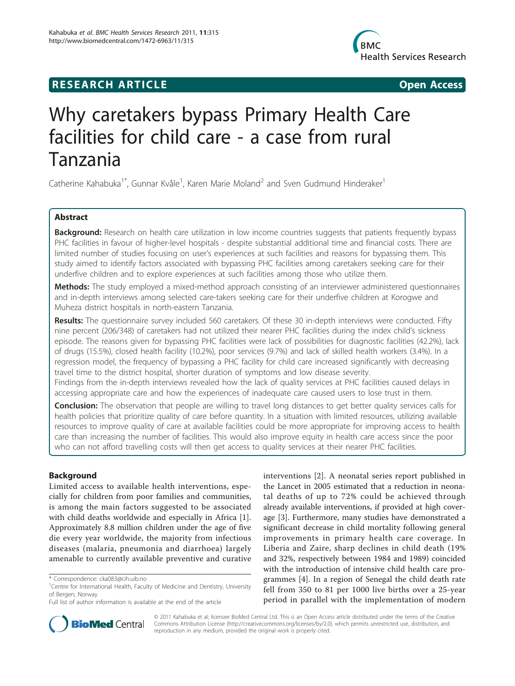# **RESEARCH ARTICLE Example 2014 CONSUMING A CONSUMING A CONSUMING A CONSUMING A CONSUMING A CONSUMING A CONSUMING A CONSUMING A CONSUMING A CONSUMING A CONSUMING A CONSUMING A CONSUMING A CONSUMING A CONSUMING A CONSUMI**



# Why caretakers bypass Primary Health Care facilities for child care - a case from rural Tanzania

Catherine Kahabuka<sup>1\*</sup>, Gunnar Kvåle<sup>1</sup>, Karen Marie Moland<sup>2</sup> and Sven Gudmund Hinderaker<sup>1</sup>

# Abstract

Background: Research on health care utilization in low income countries suggests that patients frequently bypass PHC facilities in favour of higher-level hospitals - despite substantial additional time and financial costs. There are limited number of studies focusing on user's experiences at such facilities and reasons for bypassing them. This study aimed to identify factors associated with bypassing PHC facilities among caretakers seeking care for their underfive children and to explore experiences at such facilities among those who utilize them.

Methods: The study employed a mixed-method approach consisting of an interviewer administered questionnaires and in-depth interviews among selected care-takers seeking care for their underfive children at Korogwe and Muheza district hospitals in north-eastern Tanzania.

Results: The questionnaire survey included 560 caretakers. Of these 30 in-depth interviews were conducted. Fifty nine percent (206/348) of caretakers had not utilized their nearer PHC facilities during the index child's sickness episode. The reasons given for bypassing PHC facilities were lack of possibilities for diagnostic facilities (42.2%), lack of drugs (15.5%), closed health facility (10.2%), poor services (9.7%) and lack of skilled health workers (3.4%). In a regression model, the frequency of bypassing a PHC facility for child care increased significantly with decreasing travel time to the district hospital, shorter duration of symptoms and low disease severity. Findings from the in-depth interviews revealed how the lack of quality services at PHC facilities caused delays in

accessing appropriate care and how the experiences of inadequate care caused users to lose trust in them.

**Conclusion:** The observation that people are willing to travel long distances to get better quality services calls for health policies that prioritize quality of care before quantity. In a situation with limited resources, utilizing available resources to improve quality of care at available facilities could be more appropriate for improving access to health care than increasing the number of facilities. This would also improve equity in health care access since the poor who can not afford travelling costs will then get access to quality services at their nearer PHC facilities.

# Background

Limited access to available health interventions, especially for children from poor families and communities, is among the main factors suggested to be associated with child deaths worldwide and especially in Africa [\[1](#page-8-0)]. Approximately 8.8 million children under the age of five die every year worldwide, the majority from infectious diseases (malaria, pneumonia and diarrhoea) largely amenable to currently available preventive and curative interventions [[2\]](#page-8-0). A neonatal series report published in the Lancet in 2005 estimated that a reduction in neonatal deaths of up to 72% could be achieved through already available interventions, if provided at high coverage [[3\]](#page-8-0). Furthermore, many studies have demonstrated a significant decrease in child mortality following general improvements in primary health care coverage. In Liberia and Zaire, sharp declines in child death (19% and 32%, respectively between 1984 and 1989) coincided with the introduction of intensive child health care programmes [[4\]](#page-8-0). In a region of Senegal the child death rate fell from 350 to 81 per 1000 live births over a 25-year period in parallel with the implementation of modern



© 2011 Kahabuka et al; licensee BioMed Central Ltd. This is an Open Access article distributed under the terms of the Creative Commons Attribution License [\(http://creativecommons.org/licenses/by/2.0](http://creativecommons.org/licenses/by/2.0)), which permits unrestricted use, distribution, and reproduction in any medium, provided the original work is properly cited.

<sup>\*</sup> Correspondence: [cka083@cih.uib.no](mailto:cka083@cih.uib.no)

<sup>&</sup>lt;sup>1</sup> Centre for International Health, Faculty of Medicine and Dentistry, University of Bergen, Norway

Full list of author information is available at the end of the article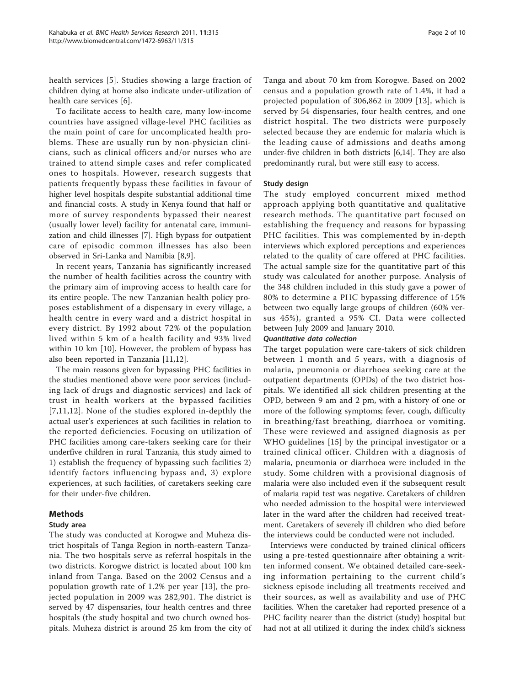health services [\[5](#page-8-0)]. Studies showing a large fraction of children dying at home also indicate under-utilization of health care services [[6\]](#page-8-0).

To facilitate access to health care, many low-income countries have assigned village-level PHC facilities as the main point of care for uncomplicated health problems. These are usually run by non-physician clinicians, such as clinical officers and/or nurses who are trained to attend simple cases and refer complicated ones to hospitals. However, research suggests that patients frequently bypass these facilities in favour of higher level hospitals despite substantial additional time and financial costs. A study in Kenya found that half or more of survey respondents bypassed their nearest (usually lower level) facility for antenatal care, immunization and child illnesses [[7](#page-8-0)]. High bypass for outpatient care of episodic common illnesses has also been observed in Sri-Lanka and Namibia [[8,9\]](#page-8-0).

In recent years, Tanzania has significantly increased the number of health facilities across the country with the primary aim of improving access to health care for its entire people. The new Tanzanian health policy proposes establishment of a dispensary in every village, a health centre in every ward and a district hospital in every district. By 1992 about 72% of the population lived within 5 km of a health facility and 93% lived within 10 km [\[10](#page-8-0)]. However, the problem of bypass has also been reported in Tanzania [[11,12\]](#page-8-0).

The main reasons given for bypassing PHC facilities in the studies mentioned above were poor services (including lack of drugs and diagnostic services) and lack of trust in health workers at the bypassed facilities [[7](#page-8-0),[11,12](#page-8-0)]. None of the studies explored in-depthly the actual user's experiences at such facilities in relation to the reported deficiencies. Focusing on utilization of PHC facilities among care-takers seeking care for their underfive children in rural Tanzania, this study aimed to 1) establish the frequency of bypassing such facilities 2) identify factors influencing bypass and, 3) explore experiences, at such facilities, of caretakers seeking care for their under-five children.

# Methods

# Study area

The study was conducted at Korogwe and Muheza district hospitals of Tanga Region in north-eastern Tanzania. The two hospitals serve as referral hospitals in the two districts. Korogwe district is located about 100 km inland from Tanga. Based on the 2002 Census and a population growth rate of 1.2% per year [[13](#page-8-0)], the projected population in 2009 was 282,901. The district is served by 47 dispensaries, four health centres and three hospitals (the study hospital and two church owned hospitals. Muheza district is around 25 km from the city of

Tanga and about 70 km from Korogwe. Based on 2002 census and a population growth rate of 1.4%, it had a projected population of 306,862 in 2009 [[13](#page-8-0)], which is served by 54 dispensaries, four health centres, and one district hospital. The two districts were purposely selected because they are endemic for malaria which is the leading cause of admissions and deaths among under-five children in both districts [[6,14\]](#page-8-0). They are also predominantly rural, but were still easy to access.

### Study design

The study employed concurrent mixed method approach applying both quantitative and qualitative research methods. The quantitative part focused on establishing the frequency and reasons for bypassing PHC facilities. This was complemented by in-depth interviews which explored perceptions and experiences related to the quality of care offered at PHC facilities. The actual sample size for the quantitative part of this study was calculated for another purpose. Analysis of the 348 children included in this study gave a power of 80% to determine a PHC bypassing difference of 15% between two equally large groups of children (60% versus 45%), granted a 95% CI. Data were collected between July 2009 and January 2010.

#### Quantitative data collection

The target population were care-takers of sick children between 1 month and 5 years, with a diagnosis of malaria, pneumonia or diarrhoea seeking care at the outpatient departments (OPDs) of the two district hospitals. We identified all sick children presenting at the OPD, between 9 am and 2 pm, with a history of one or more of the following symptoms; fever, cough, difficulty in breathing/fast breathing, diarrhoea or vomiting. These were reviewed and assigned diagnosis as per WHO guidelines [\[15](#page-8-0)] by the principal investigator or a trained clinical officer. Children with a diagnosis of malaria, pneumonia or diarrhoea were included in the study. Some children with a provisional diagnosis of malaria were also included even if the subsequent result of malaria rapid test was negative. Caretakers of children who needed admission to the hospital were interviewed later in the ward after the children had received treatment. Caretakers of severely ill children who died before the interviews could be conducted were not included.

Interviews were conducted by trained clinical officers using a pre-tested questionnaire after obtaining a written informed consent. We obtained detailed care-seeking information pertaining to the current child's sickness episode including all treatments received and their sources, as well as availability and use of PHC facilities. When the caretaker had reported presence of a PHC facility nearer than the district (study) hospital but had not at all utilized it during the index child's sickness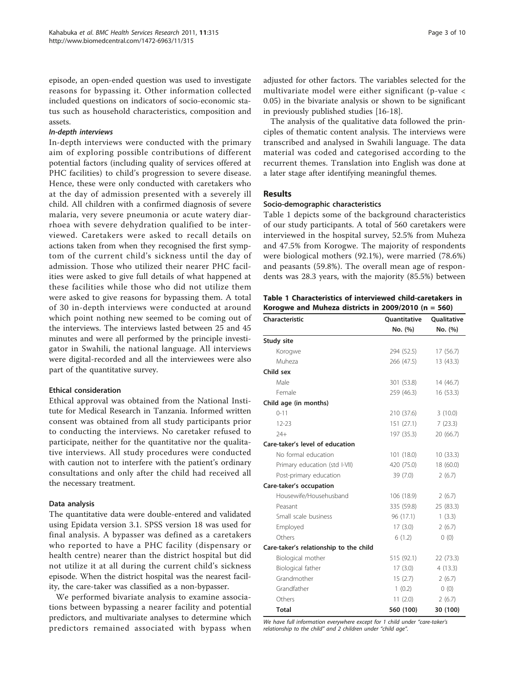episode, an open-ended question was used to investigate reasons for bypassing it. Other information collected included questions on indicators of socio-economic status such as household characteristics, composition and assets.

#### In-depth interviews

In-depth interviews were conducted with the primary aim of exploring possible contributions of different potential factors (including quality of services offered at PHC facilities) to child's progression to severe disease. Hence, these were only conducted with caretakers who at the day of admission presented with a severely ill child. All children with a confirmed diagnosis of severe malaria, very severe pneumonia or acute watery diarrhoea with severe dehydration qualified to be interviewed. Caretakers were asked to recall details on actions taken from when they recognised the first symptom of the current child's sickness until the day of admission. Those who utilized their nearer PHC facilities were asked to give full details of what happened at these facilities while those who did not utilize them were asked to give reasons for bypassing them. A total of 30 in-depth interviews were conducted at around which point nothing new seemed to be coming out of the interviews. The interviews lasted between 25 and 45 minutes and were all performed by the principle investigator in Swahili, the national language. All interviews were digital-recorded and all the interviewees were also part of the quantitative survey.

#### Ethical consideration

Ethical approval was obtained from the National Institute for Medical Research in Tanzania. Informed written consent was obtained from all study participants prior to conducting the interviews. No caretaker refused to participate, neither for the quantitative nor the qualitative interviews. All study procedures were conducted with caution not to interfere with the patient's ordinary consultations and only after the child had received all the necessary treatment.

#### Data analysis

The quantitative data were double-entered and validated using Epidata version 3.1. SPSS version 18 was used for final analysis. A bypasser was defined as a caretakers who reported to have a PHC facility (dispensary or health centre) nearer than the district hospital but did not utilize it at all during the current child's sickness episode. When the district hospital was the nearest facility, the care-taker was classified as a non-bypasser.

We performed bivariate analysis to examine associations between bypassing a nearer facility and potential predictors, and multivariate analyses to determine which predictors remained associated with bypass when Page 3 of 10

adjusted for other factors. The variables selected for the multivariate model were either significant (p-value < 0.05) in the bivariate analysis or shown to be significant in previously published studies [\[16](#page-8-0)-[18\]](#page-9-0).

The analysis of the qualitative data followed the principles of thematic content analysis. The interviews were transcribed and analysed in Swahili language. The data material was coded and categorised according to the recurrent themes. Translation into English was done at a later stage after identifying meaningful themes.

#### Results

#### Socio-demographic characteristics

Table 1 depicts some of the background characteristics of our study participants. A total of 560 caretakers were interviewed in the hospital survey, 52.5% from Muheza and 47.5% from Korogwe. The majority of respondents were biological mothers (92.1%), were married (78.6%) and peasants (59.8%). The overall mean age of respondents was 28.3 years, with the majority (85.5%) between

Table 1 Characteristics of interviewed child-caretakers in Korogwe and Muheza districts in 2009/2010 (n = 560)

| Characteristic                         | Quantitative | Qualitative |  |
|----------------------------------------|--------------|-------------|--|
|                                        | No. (%)      | No. (%)     |  |
| Study site                             |              |             |  |
| Korogwe                                | 294 (52.5)   | 17(56.7)    |  |
| Muheza                                 | 266 (47.5)   | 13(43.3)    |  |
| Child sex                              |              |             |  |
| Male                                   | 301 (53.8)   | 14(46.7)    |  |
| Female                                 | 259 (46.3)   | 16 (53.3)   |  |
| Child age (in months)                  |              |             |  |
| $0 - 11$                               | 210 (37.6)   | 3(10.0)     |  |
| $12 - 23$                              | 151(27.1)    | 7(23.3)     |  |
| $24+$                                  | 197 (35.3)   | 20 (66.7)   |  |
| Care-taker's level of education        |              |             |  |
| No formal education                    | 101(18.0)    | 10(33.3)    |  |
| Primary education (std I-VII)          | 420 (75.0)   | 18 (60.0)   |  |
| Post-primary education                 | 39(7.0)      | 2(6.7)      |  |
| Care-taker's occupation                |              |             |  |
| Housewife/Househusband                 | 106 (18.9)   | 2(6.7)      |  |
| Peasant                                | 335 (59.8)   | 25 (83.3)   |  |
| Small scale business                   | 96 (17.1)    | 1(3.3)      |  |
| Employed                               | 17(3.0)      | 2(6.7)      |  |
| Others                                 | 6(1.2)       | 0(0)        |  |
| Care-taker's relationship to the child |              |             |  |
| Biological mother                      | 515 (92.1)   | 22 (73.3)   |  |
| Biological father                      | 17(3.0)      | 4(13.3)     |  |
| Grandmother                            | 15(2.7)      | 2(6.7)      |  |
| Grandfather                            | 1(0.2)       | 0(0)        |  |
| Others                                 | 11(2.0)      | 2(6.7)      |  |
| <b>Total</b>                           | 560 (100)    | 30 (100)    |  |

We have full information everywhere except for 1 child under "care-taker's relationship to the child" and 2 children under "child age".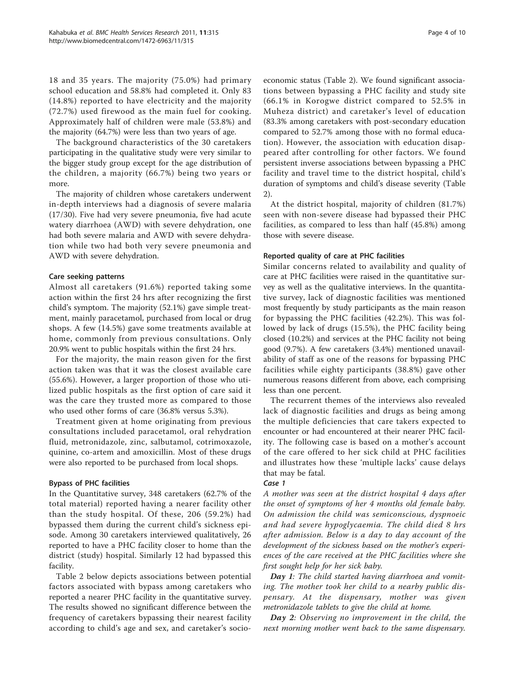18 and 35 years. The majority (75.0%) had primary school education and 58.8% had completed it. Only 83 (14.8%) reported to have electricity and the majority (72.7%) used firewood as the main fuel for cooking. Approximately half of children were male (53.8%) and the majority (64.7%) were less than two years of age.

The background characteristics of the 30 caretakers participating in the qualitative study were very similar to the bigger study group except for the age distribution of the children, a majority (66.7%) being two years or more.

The majority of children whose caretakers underwent in-depth interviews had a diagnosis of severe malaria (17/30). Five had very severe pneumonia, five had acute watery diarrhoea (AWD) with severe dehydration, one had both severe malaria and AWD with severe dehydration while two had both very severe pneumonia and AWD with severe dehydration.

### Care seeking patterns

Almost all caretakers (91.6%) reported taking some action within the first 24 hrs after recognizing the first child's symptom. The majority (52.1%) gave simple treatment, mainly paracetamol, purchased from local or drug shops. A few (14.5%) gave some treatments available at home, commonly from previous consultations. Only 20.9% went to public hospitals within the first 24 hrs.

For the majority, the main reason given for the first action taken was that it was the closest available care (55.6%). However, a larger proportion of those who utilized public hospitals as the first option of care said it was the care they trusted more as compared to those who used other forms of care (36.8% versus 5.3%).

Treatment given at home originating from previous consultations included paracetamol, oral rehydration fluid, metronidazole, zinc, salbutamol, cotrimoxazole, quinine, co-artem and amoxicillin. Most of these drugs were also reported to be purchased from local shops.

#### Bypass of PHC facilities

In the Quantitative survey, 348 caretakers (62.7% of the total material) reported having a nearer facility other than the study hospital. Of these, 206 (59.2%) had bypassed them during the current child's sickness episode. Among 30 caretakers interviewed qualitatively, 26 reported to have a PHC facility closer to home than the district (study) hospital. Similarly 12 had bypassed this facility.

Table [2](#page-4-0) below depicts associations between potential factors associated with bypass among caretakers who reported a nearer PHC facility in the quantitative survey. The results showed no significant difference between the frequency of caretakers bypassing their nearest facility according to child's age and sex, and caretaker's socio-

economic status (Table [2](#page-4-0)). We found significant associations between bypassing a PHC facility and study site (66.1% in Korogwe district compared to 52.5% in Muheza district) and caretaker's level of education (83.3% among caretakers with post-secondary education compared to 52.7% among those with no formal education). However, the association with education disappeared after controlling for other factors. We found persistent inverse associations between bypassing a PHC facility and travel time to the district hospital, child's duration of symptoms and child's disease severity (Table [2\)](#page-4-0).

At the district hospital, majority of children (81.7%) seen with non-severe disease had bypassed their PHC facilities, as compared to less than half (45.8%) among those with severe disease.

### Reported quality of care at PHC facilities

Similar concerns related to availability and quality of care at PHC facilities were raised in the quantitative survey as well as the qualitative interviews. In the quantitative survey, lack of diagnostic facilities was mentioned most frequently by study participants as the main reason for bypassing the PHC facilities (42.2%). This was followed by lack of drugs (15.5%), the PHC facility being closed (10.2%) and services at the PHC facility not being good (9.7%). A few caretakers (3.4%) mentioned unavailability of staff as one of the reasons for bypassing PHC facilities while eighty participants (38.8%) gave other numerous reasons different from above, each comprising less than one percent.

The recurrent themes of the interviews also revealed lack of diagnostic facilities and drugs as being among the multiple deficiencies that care takers expected to encounter or had encountered at their nearer PHC facility. The following case is based on a mother's account of the care offered to her sick child at PHC facilities and illustrates how these 'multiple lacks' cause delays that may be fatal.

#### Case 1

A mother was seen at the district hospital 4 days after the onset of symptoms of her 4 months old female baby. On admission the child was semiconscious, dyspnoeic and had severe hypoglycaemia. The child died 8 hrs after admission. Below is a day to day account of the development of the sickness based on the mother's experiences of the care received at the PHC facilities where she first sought help for her sick baby.

Day 1: The child started having diarrhoea and vomiting. The mother took her child to a nearby public dispensary. At the dispensary, mother was given metronidazole tablets to give the child at home.

Day 2: Observing no improvement in the child, the next morning mother went back to the same dispensary.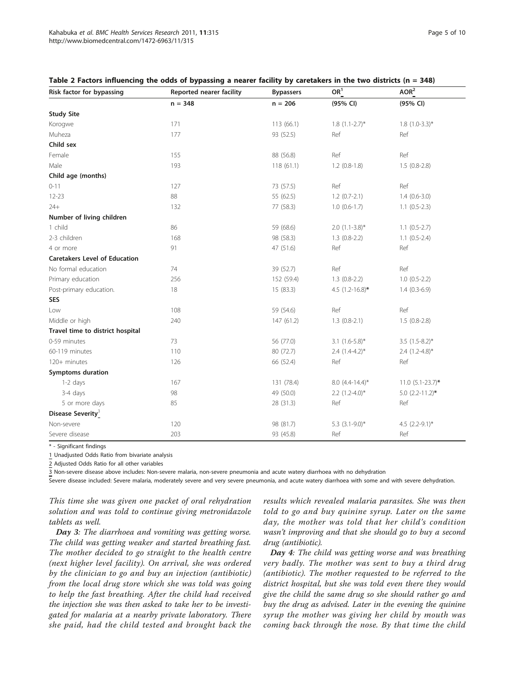| Page 5 of 10 |  |  |
|--------------|--|--|
|              |  |  |

<span id="page-4-0"></span>

| Table 2 Factors influencing the odds of bypassing a nearer facility by caretakers in the two districts ( $n = 348$ ) |  |  |  |  |
|----------------------------------------------------------------------------------------------------------------------|--|--|--|--|
|----------------------------------------------------------------------------------------------------------------------|--|--|--|--|

| Risk factor for bypassing            | Reported nearer facility | <b>Bypassers</b> | $OR^1$                | AOR <sup>2</sup>      |
|--------------------------------------|--------------------------|------------------|-----------------------|-----------------------|
|                                      | $n = 348$                | $n = 206$        | (95% CI)              | (95% CI)              |
| <b>Study Site</b>                    |                          |                  |                       |                       |
| Korogwe                              | 171                      | 113(66.1)        | $1.8$ $(1.1-2.7)$ *   | $1.8$ $(1.0-3.3)$ *   |
| Muheza                               | 177                      | 93 (52.5)        | Ref                   | Ref                   |
| Child sex                            |                          |                  |                       |                       |
| Female                               | 155                      | 88 (56.8)        | Ref                   | Ref                   |
| Male                                 | 193                      | 118(61.1)        | $1.2(0.8-1.8)$        | $1.5(0.8-2.8)$        |
| Child age (months)                   |                          |                  |                       |                       |
| $0 - 11$                             | 127                      | 73 (57.5)        | Ref                   | Ref                   |
| $12 - 23$                            | 88                       | 55 (62.5)        | $1.2$ (0.7-2.1)       | $1.4(0.6-3.0)$        |
| $24+$                                | 132                      | 77 (58.3)        | $1.0 (0.6-1.7)$       | $1.1$ (0.5-2.3)       |
| Number of living children            |                          |                  |                       |                       |
| 1 child                              | 86                       | 59 (68.6)        | $2.0$ (1.1-3.8)*      | $1.1 (0.5 - 2.7)$     |
| 2-3 children                         | 168                      | 98 (58.3)        | $1.3(0.8-2.2)$        | $1.1 (0.5 - 2.4)$     |
| 4 or more                            | 91                       | 47 (51.6)        | Ref                   | Ref                   |
| <b>Caretakers Level of Education</b> |                          |                  |                       |                       |
| No formal education                  | 74                       | 39 (52.7)        | Ref                   | Ref                   |
| Primary education                    | 256                      | 152 (59.4)       | $1.3(0.8-2.2)$        | $1.0(0.5-2.2)$        |
| Post-primary education.              | 18                       | 15(83.3)         | 4.5 $(1.2 - 16.8)$ *  | $1.4(0.3-6.9)$        |
| <b>SES</b>                           |                          |                  |                       |                       |
| Low                                  | 108                      | 59 (54.6)        | Ref                   | Ref                   |
| Middle or high                       | 240                      | 147 (61.2)       | $1.3(0.8-2.1)$        | $1.5(0.8-2.8)$        |
| Travel time to district hospital     |                          |                  |                       |                       |
| 0-59 minutes                         | 73                       | 56 (77.0)        | $3.1$ $(1.6-5.8)$ *   | $3.5$ $(1.5-8.2)$ *   |
| 60-119 minutes                       | 110                      | 80 (72.7)        | $2.4$ $(1.4-4.2)$ *   | $2.4$ (1.2-4.8)*      |
| 120+ minutes                         | 126                      | 66 (52.4)        | Ref                   | Ref                   |
| <b>Symptoms duration</b>             |                          |                  |                       |                       |
| $1-2$ days                           | 167                      | 131 (78.4)       | $8.0(4.4-14.4)^*$     | $11.0 (5.1 - 23.7)^*$ |
| 3-4 days                             | 98                       | 49 (50.0)        | $2.2$ $(1.2 - 4.0)$ * | 5.0 $(2.2 - 11.2)$ *  |
| 5 or more days                       | 85                       | 28 (31.3)        | Ref                   | Ref                   |
| Disease Severity <sup>3</sup>        |                          |                  |                       |                       |
| Non-severe                           | 120                      | 98 (81.7)        | $5.3$ $(3.1-9.0)$ *   | 4.5 $(2.2-9.1)$ *     |
| Severe disease                       | 203                      | 93 (45.8)        | Ref                   | Ref                   |

\* - Significant findings

1 Unadjusted Odds Ratio from bivariate analysis

2 Adjusted Odds Ratio for all other variables

3 Non-severe disease above includes: Non-severe malaria, non-severe pneumonia and acute watery diarrhoea with no dehydration

Severe disease included: Severe malaria, moderately severe and very severe pneumonia, and acute watery diarrhoea with some and with severe dehydration.

This time she was given one packet of oral rehydration solution and was told to continue giving metronidazole tablets as well.

Day 3: The diarrhoea and vomiting was getting worse. The child was getting weaker and started breathing fast. The mother decided to go straight to the health centre (next higher level facility). On arrival, she was ordered by the clinician to go and buy an injection (antibiotic) from the local drug store which she was told was going to help the fast breathing. After the child had received the injection she was then asked to take her to be investigated for malaria at a nearby private laboratory. There she paid, had the child tested and brought back the results which revealed malaria parasites. She was then told to go and buy quinine syrup. Later on the same day, the mother was told that her child's condition wasn't improving and that she should go to buy a second drug (antibiotic).

Day 4: The child was getting worse and was breathing very badly. The mother was sent to buy a third drug (antibiotic). The mother requested to be referred to the district hospital, but she was told even there they would give the child the same drug so she should rather go and buy the drug as advised. Later in the evening the quinine syrup the mother was giving her child by mouth was coming back through the nose. By that time the child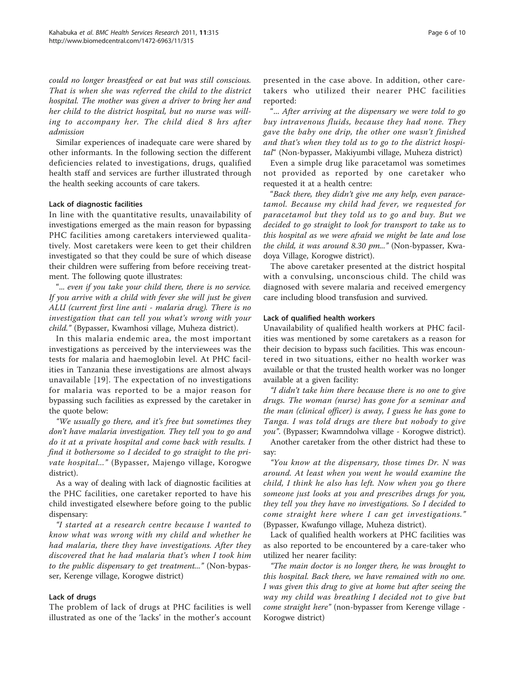could no longer breastfeed or eat but was still conscious. That is when she was referred the child to the district hospital. The mother was given a driver to bring her and her child to the district hospital, but no nurse was willing to accompany her. The child died 8 hrs after admission

Similar experiences of inadequate care were shared by other informants. In the following section the different deficiencies related to investigations, drugs, qualified health staff and services are further illustrated through the health seeking accounts of care takers.

#### Lack of diagnostic facilities

In line with the quantitative results, unavailability of investigations emerged as the main reason for bypassing PHC facilities among caretakers interviewed qualitatively. Most caretakers were keen to get their children investigated so that they could be sure of which disease their children were suffering from before receiving treatment. The following quote illustrates:

"... even if you take your child there, there is no service. If you arrive with a child with fever she will just be given ALU (current first line anti - malaria drug). There is no investigation that can tell you what's wrong with your child." (Bypasser, Kwamhosi village, Muheza district).

In this malaria endemic area, the most important investigations as perceived by the interviewees was the tests for malaria and haemoglobin level. At PHC facilities in Tanzania these investigations are almost always unavailable [[19](#page-9-0)]. The expectation of no investigations for malaria was reported to be a major reason for bypassing such facilities as expressed by the caretaker in the quote below:

"We usually go there, and it's free but sometimes they don't have malaria investigation. They tell you to go and do it at a private hospital and come back with results. I find it bothersome so I decided to go straight to the private hospital..." (Bypasser, Majengo village, Korogwe district).

As a way of dealing with lack of diagnostic facilities at the PHC facilities, one caretaker reported to have his child investigated elsewhere before going to the public dispensary:

"I started at a research centre because I wanted to know what was wrong with my child and whether he had malaria, there they have investigations. After they discovered that he had malaria that's when I took him to the public dispensary to get treatment..." (Non-bypasser, Kerenge village, Korogwe district)

#### Lack of drugs

The problem of lack of drugs at PHC facilities is well illustrated as one of the 'lacks' in the mother's account

presented in the case above. In addition, other caretakers who utilized their nearer PHC facilities reported:

"... After arriving at the dispensary we were told to go buy intravenous fluids, because they had none. They gave the baby one drip, the other one wasn't finished and that's when they told us to go to the district hospital" (Non-bypasser, Makiyumbi village, Muheza district)

Even a simple drug like paracetamol was sometimes not provided as reported by one caretaker who requested it at a health centre:

"Back there, they didn't give me any help, even paracetamol. Because my child had fever, we requested for paracetamol but they told us to go and buy. But we decided to go straight to look for transport to take us to this hospital as we were afraid we might be late and lose the child, it was around 8.30 pm..." (Non-bypasser, Kwadoya Village, Korogwe district).

The above caretaker presented at the district hospital with a convulsing, unconscious child. The child was diagnosed with severe malaria and received emergency care including blood transfusion and survived.

#### Lack of qualified health workers

Unavailability of qualified health workers at PHC facilities was mentioned by some caretakers as a reason for their decision to bypass such facilities. This was encountered in two situations, either no health worker was available or that the trusted health worker was no longer available at a given facility:

"I didn't take him there because there is no one to give drugs. The woman (nurse) has gone for a seminar and the man (clinical officer) is away, I guess he has gone to Tanga. I was told drugs are there but nobody to give you". (Bypasser; Kwamndolwa village - Korogwe district).

Another caretaker from the other district had these to say:

"You know at the dispensary, those times Dr. N was around. At least when you went he would examine the child, I think he also has left. Now when you go there someone just looks at you and prescribes drugs for you, they tell you they have no investigations. So I decided to come straight here where I can get investigations." (Bypasser, Kwafungo village, Muheza district).

Lack of qualified health workers at PHC facilities was as also reported to be encountered by a care-taker who utilized her nearer facility:

"The main doctor is no longer there, he was brought to this hospital. Back there, we have remained with no one. I was given this drug to give at home but after seeing the way my child was breathing I decided not to give but come straight here" (non-bypasser from Kerenge village - Korogwe district)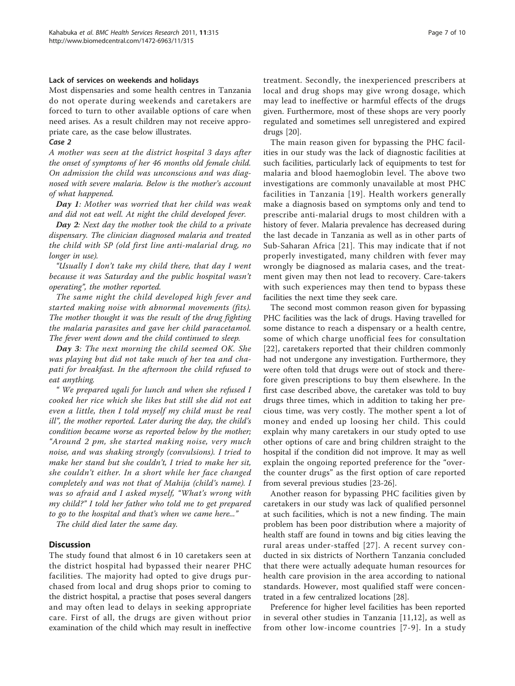#### Lack of services on weekends and holidays

Most dispensaries and some health centres in Tanzania do not operate during weekends and caretakers are forced to turn to other available options of care when need arises. As a result children may not receive appropriate care, as the case below illustrates.

Case 2

A mother was seen at the district hospital 3 days after the onset of symptoms of her 46 months old female child. On admission the child was unconscious and was diagnosed with severe malaria. Below is the mother's account of what happened.

Day 1: Mother was worried that her child was weak and did not eat well. At night the child developed fever.

Day 2: Next day the mother took the child to a private dispensary. The clinician diagnosed malaria and treated the child with SP (old first line anti-malarial drug, no longer in use).

"Usually I don't take my child there, that day I went because it was Saturday and the public hospital wasn't operating", the mother reported.

The same night the child developed high fever and started making noise with abnormal movements (fits). The mother thought it was the result of the drug fighting the malaria parasites and gave her child paracetamol. The fever went down and the child continued to sleep.

Day 3: The next morning the child seemed OK. She was playing but did not take much of her tea and chapati for breakfast. In the afternoon the child refused to eat anything.

" We prepared ugali for lunch and when she refused I cooked her rice which she likes but still she did not eat even a little, then I told myself my child must be real ill", the mother reported. Later during the day, the child's condition became worse as reported below by the mother; "Around 2 pm, she started making noise, very much noise, and was shaking strongly (convulsions). I tried to make her stand but she couldn't, I tried to make her sit, she couldn't either. In a short while her face changed completely and was not that of Mahija (child's name). I was so afraid and I asked myself, "What's wrong with my child?" I told her father who told me to get prepared to go to the hospital and that's when we came here..."

The child died later the same day.

### **Discussion**

The study found that almost 6 in 10 caretakers seen at the district hospital had bypassed their nearer PHC facilities. The majority had opted to give drugs purchased from local and drug shops prior to coming to the district hospital, a practise that poses several dangers and may often lead to delays in seeking appropriate care. First of all, the drugs are given without prior examination of the child which may result in ineffective treatment. Secondly, the inexperienced prescribers at local and drug shops may give wrong dosage, which may lead to ineffective or harmful effects of the drugs given. Furthermore, most of these shops are very poorly regulated and sometimes sell unregistered and expired drugs [[20](#page-9-0)].

The main reason given for bypassing the PHC facilities in our study was the lack of diagnostic facilities at such facilities, particularly lack of equipments to test for malaria and blood haemoglobin level. The above two investigations are commonly unavailable at most PHC facilities in Tanzania [[19\]](#page-9-0). Health workers generally make a diagnosis based on symptoms only and tend to prescribe anti-malarial drugs to most children with a history of fever. Malaria prevalence has decreased during the last decade in Tanzania as well as in other parts of Sub-Saharan Africa [[21\]](#page-9-0). This may indicate that if not properly investigated, many children with fever may wrongly be diagnosed as malaria cases, and the treatment given may then not lead to recovery. Care-takers with such experiences may then tend to bypass these facilities the next time they seek care.

The second most common reason given for bypassing PHC facilities was the lack of drugs. Having travelled for some distance to reach a dispensary or a health centre, some of which charge unofficial fees for consultation [[22](#page-9-0)], caretakers reported that their children commonly had not undergone any investigation. Furthermore, they were often told that drugs were out of stock and therefore given prescriptions to buy them elsewhere. In the first case described above, the caretaker was told to buy drugs three times, which in addition to taking her precious time, was very costly. The mother spent a lot of money and ended up loosing her child. This could explain why many caretakers in our study opted to use other options of care and bring children straight to the hospital if the condition did not improve. It may as well explain the ongoing reported preference for the "overthe counter drugs" as the first option of care reported from several previous studies [[23](#page-9-0)-[26\]](#page-9-0).

Another reason for bypassing PHC facilities given by caretakers in our study was lack of qualified personnel at such facilities, which is not a new finding. The main problem has been poor distribution where a majority of health staff are found in towns and big cities leaving the rural areas under-staffed [\[27](#page-9-0)]. A recent survey conducted in six districts of Northern Tanzania concluded that there were actually adequate human resources for health care provision in the area according to national standards. However, most qualified staff were concentrated in a few centralized locations [\[28\]](#page-9-0).

Preference for higher level facilities has been reported in several other studies in Tanzania [[11,12](#page-8-0)], as well as from other low-income countries [[7-9](#page-8-0)]. In a study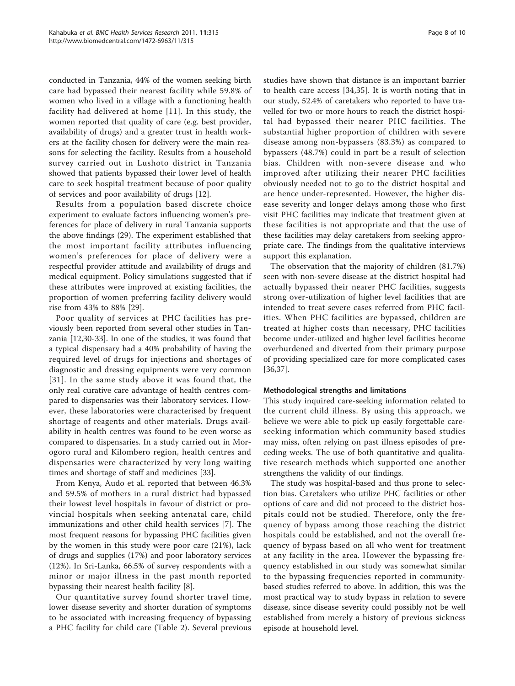conducted in Tanzania, 44% of the women seeking birth care had bypassed their nearest facility while 59.8% of women who lived in a village with a functioning health facility had delivered at home [[11\]](#page-8-0). In this study, the women reported that quality of care (e.g. best provider, availability of drugs) and a greater trust in health workers at the facility chosen for delivery were the main reasons for selecting the facility. Results from a household survey carried out in Lushoto district in Tanzania showed that patients bypassed their lower level of health care to seek hospital treatment because of poor quality of services and poor availability of drugs [\[12](#page-8-0)].

Results from a population based discrete choice experiment to evaluate factors influencing women's preferences for place of delivery in rural Tanzania supports the above findings (29). The experiment established that the most important facility attributes influencing women's preferences for place of delivery were a respectful provider attitude and availability of drugs and medical equipment. Policy simulations suggested that if these attributes were improved at existing facilities, the proportion of women preferring facility delivery would rise from 43% to 88% [[29](#page-9-0)].

Poor quality of services at PHC facilities has previously been reported from several other studies in Tanzania [\[12](#page-8-0)[,30](#page-9-0)-[33\]](#page-9-0). In one of the studies, it was found that a typical dispensary had a 40% probability of having the required level of drugs for injections and shortages of diagnostic and dressing equipments were very common [[31\]](#page-9-0). In the same study above it was found that, the only real curative care advantage of health centres compared to dispensaries was their laboratory services. However, these laboratories were characterised by frequent shortage of reagents and other materials. Drugs availability in health centres was found to be even worse as compared to dispensaries. In a study carried out in Morogoro rural and Kilombero region, health centres and dispensaries were characterized by very long waiting times and shortage of staff and medicines [\[33](#page-9-0)].

From Kenya, Audo et al. reported that between 46.3% and 59.5% of mothers in a rural district had bypassed their lowest level hospitals in favour of district or provincial hospitals when seeking antenatal care, child immunizations and other child health services [[7](#page-8-0)]. The most frequent reasons for bypassing PHC facilities given by the women in this study were poor care (21%), lack of drugs and supplies (17%) and poor laboratory services (12%). In Sri-Lanka, 66.5% of survey respondents with a minor or major illness in the past month reported bypassing their nearest health facility [\[8\]](#page-8-0).

Our quantitative survey found shorter travel time, lower disease severity and shorter duration of symptoms to be associated with increasing frequency of bypassing a PHC facility for child care (Table [2\)](#page-4-0). Several previous studies have shown that distance is an important barrier to health care access [[34,35](#page-9-0)]. It is worth noting that in our study, 52.4% of caretakers who reported to have travelled for two or more hours to reach the district hospital had bypassed their nearer PHC facilities. The substantial higher proportion of children with severe disease among non-bypassers (83.3%) as compared to bypassers (48.7%) could in part be a result of selection bias. Children with non-severe disease and who improved after utilizing their nearer PHC facilities obviously needed not to go to the district hospital and are hence under-represented. However, the higher disease severity and longer delays among those who first visit PHC facilities may indicate that treatment given at these facilities is not appropriate and that the use of these facilities may delay caretakers from seeking appropriate care. The findings from the qualitative interviews support this explanation.

The observation that the majority of children (81.7%) seen with non-severe disease at the district hospital had actually bypassed their nearer PHC facilities, suggests strong over-utilization of higher level facilities that are intended to treat severe cases referred from PHC facilities. When PHC facilities are bypassed, children are treated at higher costs than necessary, PHC facilities become under-utilized and higher level facilities become overburdened and diverted from their primary purpose of providing specialized care for more complicated cases [[36,37\]](#page-9-0).

# Methodological strengths and limitations

This study inquired care-seeking information related to the current child illness. By using this approach, we believe we were able to pick up easily forgettable careseeking information which community based studies may miss, often relying on past illness episodes of preceding weeks. The use of both quantitative and qualitative research methods which supported one another strengthens the validity of our findings.

The study was hospital-based and thus prone to selection bias. Caretakers who utilize PHC facilities or other options of care and did not proceed to the district hospitals could not be studied. Therefore, only the frequency of bypass among those reaching the district hospitals could be established, and not the overall frequency of bypass based on all who went for treatment at any facility in the area. However the bypassing frequency established in our study was somewhat similar to the bypassing frequencies reported in communitybased studies referred to above. In addition, this was the most practical way to study bypass in relation to severe disease, since disease severity could possibly not be well established from merely a history of previous sickness episode at household level.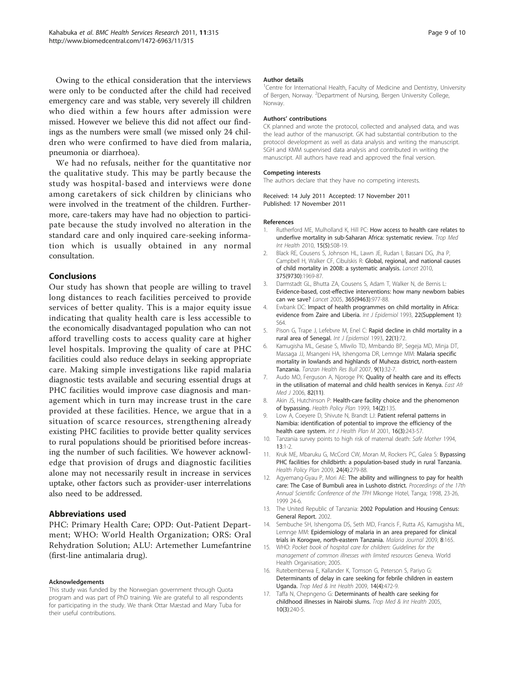<span id="page-8-0"></span>Owing to the ethical consideration that the interviews were only to be conducted after the child had received emergency care and was stable, very severely ill children who died within a few hours after admission were missed. However we believe this did not affect our findings as the numbers were small (we missed only 24 children who were confirmed to have died from malaria, pneumonia or diarrhoea).

We had no refusals, neither for the quantitative nor the qualitative study. This may be partly because the study was hospital-based and interviews were done among caretakers of sick children by clinicians who were involved in the treatment of the children. Furthermore, care-takers may have had no objection to participate because the study involved no alteration in the standard care and only inquired care-seeking information which is usually obtained in any normal consultation.

# Conclusions

Our study has shown that people are willing to travel long distances to reach facilities perceived to provide services of better quality. This is a major equity issue indicating that quality health care is less accessible to the economically disadvantaged population who can not afford travelling costs to access quality care at higher level hospitals. Improving the quality of care at PHC facilities could also reduce delays in seeking appropriate care. Making simple investigations like rapid malaria diagnostic tests available and securing essential drugs at PHC facilities would improve case diagnosis and management which in turn may increase trust in the care provided at these facilities. Hence, we argue that in a situation of scarce resources, strengthening already existing PHC facilities to provide better quality services to rural populations should be prioritised before increasing the number of such facilities. We however acknowledge that provision of drugs and diagnostic facilities alone may not necessarily result in increase in services uptake, other factors such as provider-user interrelations also need to be addressed.

#### Abbreviations used

PHC: Primary Health Care; OPD: Out-Patient Department; WHO: World Health Organization; ORS: Oral Rehydration Solution; ALU: Artemether Lumefantrine (first-line antimalaria drug).

#### Acknowledgements

This study was funded by the Norwegian government through Quota program and was part of PhD training. We are grateful to all respondents for participating in the study. We thank Ottar Mæstad and Mary Tuba for their useful contributions.

#### Author details

<sup>1</sup> Centre for International Health, Faculty of Medicine and Dentistry, University of Bergen, Norway. <sup>2</sup>Department of Nursing, Bergen University College Norway.

#### Authors' contributions

CK planned and wrote the protocol, collected and analysed data, and was the lead author of the manuscript. GK had substantial contribution to the protocol development as well as data analysis and writing the manuscript. SGH and KMM supervised data analysis and contributed in writing the manuscript. All authors have read and approved the final version.

#### Competing interests

The authors declare that they have no competing interests.

Received: 14 July 2011 Accepted: 17 November 2011 Published: 17 November 2011

#### References

- 1. Rutherford ME, Mulholland K, Hill PC: [How access to health care relates to](http://www.ncbi.nlm.nih.gov/pubmed/20345556?dopt=Abstract) [underfive mortality in sub-Saharan Africa: systematic review.](http://www.ncbi.nlm.nih.gov/pubmed/20345556?dopt=Abstract) Trop Med Int Health 2010, 15(5):508-19.
- 2. Black RE, Cousens S, Johnson HL, Lawn JE, Rudan I, Bassani DG, Jha P, Campbell H, Walker CF, Cibulskis R: [Global, regional, and national causes](http://www.ncbi.nlm.nih.gov/pubmed/20466419?dopt=Abstract) [of child mortality in 2008: a systematic analysis.](http://www.ncbi.nlm.nih.gov/pubmed/20466419?dopt=Abstract) Lancet 2010, 375(9730):1969-87.
- 3. Darmstadt GL, Bhutta ZA, Cousens S, Adam T, Walker N, de Bernis L: [Evidence-based, cost-effective interventions: how many newborn babies](http://www.ncbi.nlm.nih.gov/pubmed/15767001?dopt=Abstract) [can we save?](http://www.ncbi.nlm.nih.gov/pubmed/15767001?dopt=Abstract) Lancet 2005, 365(9463):977-88.
- 4. Ewbank DC: [Impact of health programmes on child mortality in Africa:](http://www.ncbi.nlm.nih.gov/pubmed/8307677?dopt=Abstract) [evidence from Zaire and Liberia.](http://www.ncbi.nlm.nih.gov/pubmed/8307677?dopt=Abstract) Int J Epidemiol 1993, 22(Supplement 1): S64.
- 5. Pison G, Trape J, Lefebvre M, Enel C: [Rapid decline in child mortality in a](http://www.ncbi.nlm.nih.gov/pubmed/8449650?dopt=Abstract) [rural area of Senegal.](http://www.ncbi.nlm.nih.gov/pubmed/8449650?dopt=Abstract) Int J Epidemiol 1993, 22(1):72.
- Kamugisha ML, Gesase S, Mlwilo TD, Mmbando BP, Segeja MD, Minja DT, Massaga JJ, Msangeni HA, Ishengoma DR, Lemnge MM: [Malaria specific](http://www.ncbi.nlm.nih.gov/pubmed/17547098?dopt=Abstract) [mortality in lowlands and highlands of Muheza district, north-eastern](http://www.ncbi.nlm.nih.gov/pubmed/17547098?dopt=Abstract) [Tanzania.](http://www.ncbi.nlm.nih.gov/pubmed/17547098?dopt=Abstract) Tanzan Health Res Bull 2007, 9(1):32-7.
- 7. Audo MO, Ferguson A, Njoroge PK: Quality of health care and its effects in the utilisation of maternal and child health services in Kenya. East Afr Med J 2006, 82(11).
- 8. Akin JS, Hutchinson P: [Health-care facility choice and the phenomenon](http://www.ncbi.nlm.nih.gov/pubmed/10538717?dopt=Abstract) [of bypassing.](http://www.ncbi.nlm.nih.gov/pubmed/10538717?dopt=Abstract) Health Policy Plan 1999, 14(2):135.
- 9. Low A, Coeyere D, Shivute N, Brandt LJ: Patient referral patterns in Namibia: identification of potential to improve the efficiency of the health care system. Int J Health Plan M 2001, 16(3):243-57.
- 10. Tanzania survey points to high risk of maternal death: Safe Mother 1994,  $13:1-2$
- 11. Kruk ME, Mbaruku G, McCord CW, Moran M, Rockers PC, Galea S: [Bypassing](http://www.ncbi.nlm.nih.gov/pubmed/19304785?dopt=Abstract) [PHC facilities for childbirth: a population-based study in rural Tanzania.](http://www.ncbi.nlm.nih.gov/pubmed/19304785?dopt=Abstract) Health Policy Plan 2009, 24(4):279-88.
- 12. Agyemang-Gyau P, Mori AE: The ability and willingness to pay for health care: The Case of Bumbuli area in Lushoto district. Proceedings of the 17th Annual Scientific Conference of the TPH Mkonge Hotel, Tanga; 1998, 23-26, 1999 24-6.
- 13. The United Republic of Tanzania: 2002 Population and Housing Census: General Report. 2002.
- 14. Sembuche SH, Ishengoma DS, Seth MD, Francis F, Rutta AS, Kamugisha ML, Lemnge MM: [Epidemiology of malaria in an area prepared for clinical](http://www.ncbi.nlm.nih.gov/pubmed/19615093?dopt=Abstract) [trials in Korogwe, north-eastern Tanzania.](http://www.ncbi.nlm.nih.gov/pubmed/19615093?dopt=Abstract) Malaria Journal 2009, 8:165.
- 15. WHO: Pocket book of hospital care for children: Guidelines for the management of common illnesses with limited resources Geneva. World Health Organisation; 2005.
- 16. Rutebemberwa E, Kallander K, Tomson G, Peterson S, Pariyo G: [Determinants of delay in care seeking for febrile children in eastern](http://www.ncbi.nlm.nih.gov/pubmed/21585086?dopt=Abstract) [Uganda.](http://www.ncbi.nlm.nih.gov/pubmed/21585086?dopt=Abstract) Trop Med & Int Health 2009, 14(4):472-9.
- 17. Taffa N, Chepngeno G: [Determinants of health care seeking for](http://www.ncbi.nlm.nih.gov/pubmed/21585086?dopt=Abstract) [childhood illnesses in Nairobi slums.](http://www.ncbi.nlm.nih.gov/pubmed/21585086?dopt=Abstract) Trop Med & Int Health 2005, 10(3):240-5.